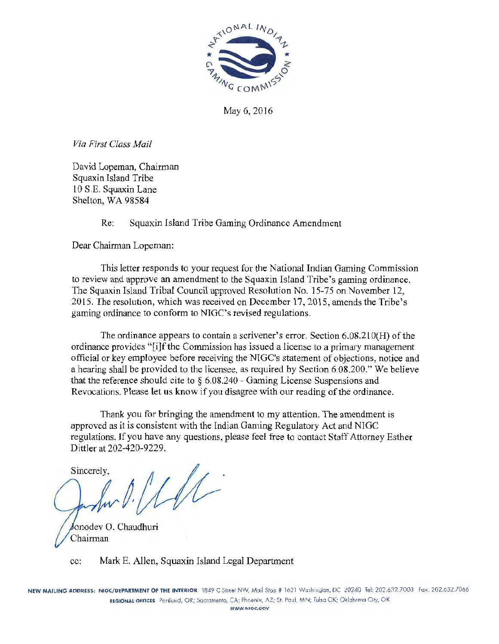

May 6, 2016

*Via First Class Mail* 

David Lopeman, Chairman Squaxin Island Tribe 10 S.E. Squaxin Lane Shelton, WA 98584

Re: Squaxin Island Tribe Gaming Ordinance Amendment

Dear Chairman Lopeman:

This letter responds to your request for the National Indian Gaming Commission to review and approve an amendment to the Squaxin Island Tribe's gaming ordinance. The Squaxin Island Tribal Council approved Resolution No. 15-75 on November 12, 2015. The resolution, which was received on December 17, 2015, amends the Tribe's gaming ordinance to conform to NIGC's revised regulations.

The ordinance appears to contain a scrivener's error. Section 6.08.210(H) of the ordinance provides "[i]f the Commission has issued a license to a primary management official or key employee before receiving the NIGC's statement of objections, notice and a hearing shall be provided to the licensee, as required by Section 6.08.200." We believe that the reference should cite to  $\S 6.08.240$  - Gaming License Suspensions and Revocations. Please let us know if you disagree with our reading of the ordinance.

Thank you for bringing the amendment to my attention. The amendment is approved *as* it is consistent with the Indian Gaming Regulatory Act and NIGC regulations. If you have any questions, please feel free to contact Staff Attorney Esther Dittler at 202-420-9229.

Sincerely,  $\frac{1}{\sqrt{2}}$ onodev 0. Chaudhuri Chairman

cc: Mark E. Allen, Squaxin Island Legal Department

NEW MAILING ADDRESS: NIGC/DEPARTMENT OF THE INTERIOR 1849 C Street NW, Mail Stop # 1621 Washington, DC 20240 Tel: 202.632.7003 Fax: 202.632.7066 REGIONAL OFFICES Portland, OR; Sacramento, CA; Phoenix, AZ; St. Paul, MN; Tulsa OK; Oklahoma City, OK WWW.NIGC.GOV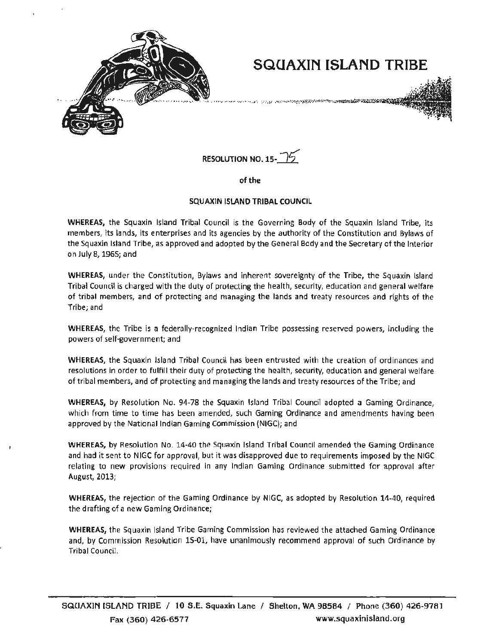

# **SQCJAXIN ISLAND TRIBE**

.<br>A 1999 DE EST TVEN (1997 DE PARTIEN LA SECURIT DE LA PRODUCTION DE L'ÉGATION DE L'ÉGATION DE L'ÉGATION DE L'ÉG



of the

#### SQUAXIN ISLAND TRIBAL COUNCIL

WHEREAS, the Squaxin Island Tribal Council is the Governing Body of the Squaxin Island Tribe, its members, Its lands, its enterprises and its agencies by the authority of the Constitution and Bylaws of the Squaxin Island Tribe, as approved and adopted by the General Body and the Secretary of the Interior on July 8, 1965; and

WHEREAS, under the Constitution, Bylaws and inherent sovereignty of the Tribe, the Squaxin Island Tribal Council is charged with the duty of protecting the health, security, education and general welfare of tribal members, and of protecting and managing the lands and treaty resources and rights of the Tribe; and

WHEREAS, the Tribe is a federally-recognized Indian Tribe possessing reserved powers, including the powers of self-government; and

WHEREAS, the Squaxin Island Tribal Council has been entrusted with the creation of ordinances and resolutions in order to fulfill their duty of protecting the health, security, education and general welfare of tribal members, and of protecting and managing the lands and treaty resources of the Tribe; and

WHEREAS, by Resolution No. 94-78 the Squaxin Island Tribal Council adopted a Gaming Ordinance, which from time to time has been amended, such Gaming Ordinance and amendments having been approved by the National Indian Gaming Commission (NIGC); and

WHEREAS, by Resolution No. 14-40 the Squaxin Island Tribal Council amended the Gaming Ordinance and had it sent to NIGC for approval, but it was disapproved due to requirements imposed by the NIGC relating to new provisions required in any Indian Gaming Ordinance submitted for approval after August, 2013;

WHEREAS, the rejection of the Gaming Ordinance by NIGC, as adopted by Resolution 14-40, required the drafting of a new Gaming Ordinance;

WHEREAS, the Squaxin Island Tribe Gaming Commission has reviewed the attached Gaming Ordinance and, by Commission Resolution 15-01, have unanimously recommend approval of such Ordinance by Tribal Council.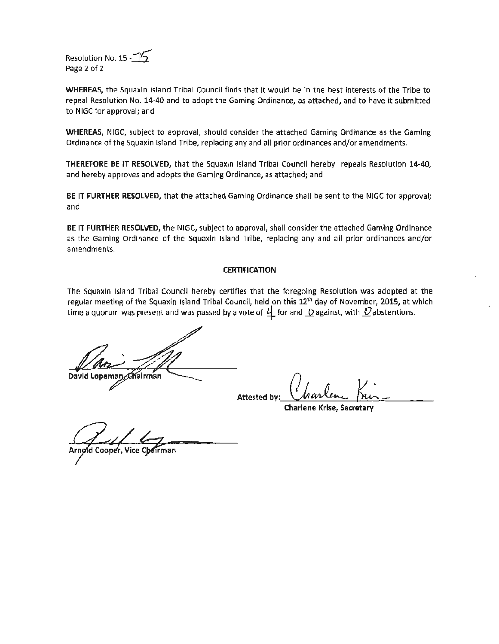Resolution No. 15 - $\mathcal{I}_2$ Page 2 of 2

WHEREAS, the Squaxin Island Tribal Council finds that it would be in the best interests of the Tribe to repeal Resolution No. 14-40 and to adopt the Gaming Ordinance, as attached, and to have it submitted to NIGC for approval; and

WHEREAS, NIGC, subject to approval, should consider the attached Gaming Ordinance as the Gaming Ordinance of the Squaxin Island Tribe, replacing any and all prior ordinances and/or amendments.

THEREFORE BE IT RESOLVED, that the Squaxin Island Tribal Council hereby repeals Resolution 14-40, and hereby approves and adopts the Gaming Ordinance, as attached; and

BE IT FURTHER RESOLVED, that the attached Gaming Ordinance shall be sent to the NIGC for approval; and

BE IT FURTHER RESOLVED, the NIGC, subject to approval, shall consider the attached Gaming Ordinance as the Gaming Ordinance of the Squaxin Island Tribe, replacing any and all prior ordinances and/or amendments.

#### **CERTIFICATION**

The Squaxin Island Tribal Council hereby certifies that the foregoing Resolution was adopted at the regular meeting of the Squaxin Island Tribal Council, held on this 12<sup>th</sup> day of November, 2015, at which time a quorum was present and was passed by a vote of  $\perp$  for and  $\Omega$  against, with  $\Omega$  abstentions.

David Loper nan Ælfalrman

Attested by: Charlen Kning

Charlene Krise, Secretary

Arnoid Cooper,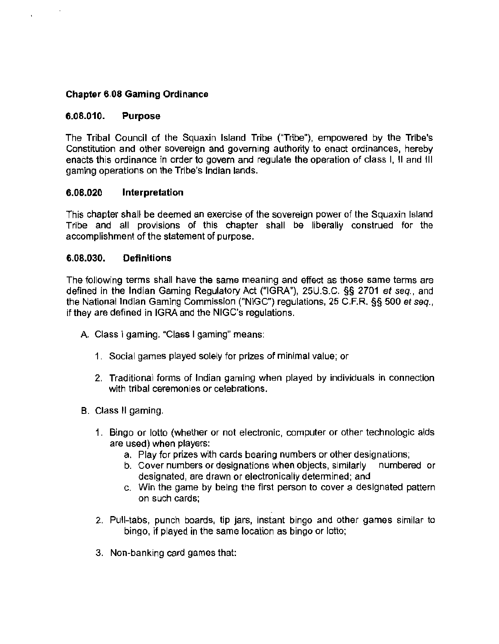## **Chapter 6.08 Gaming Ordinance**

#### **6.08.010. Purpose**

The Tribal Council of the Squaxin Island Tribe ("Tribe"), empowered by the Tribe's Constitution and other sovereign and governing authority to enact ordinances, hereby enacts this ordinance in order to govern and regulate the operation of class I, II and Ill gaming operations on the Tribe's Indian lands.

#### **6.08.020 Interpretation**

This chapter shall be deemed an exercise of the sovereign power of the Squaxin Island Tribe and all provisions of this chapter shall be liberally construed for the accomplishment of the statement of purpose.

#### **6.08.030. Definitions**

The following terms shall have the same meaning and effect as those same terms are defined in the Indian Gaming Regulatory Act ("IGRA"), 25U.S.C. §§ 2701 et seq., and the National Jndian Gaming Commission ("NIGC") regulations, 25 C.F.R. §§ 500 et seq., if they are defined in IGRA and the NIGC's regulations.

- A. Class I gaming. "Class I gaming" means:
	- 1 . Social games played solely for prizes of minimal value; or
	- 2. Traditional forms of Indian gaming when played by individuals in connection with tribal ceremonies or celebrations.
- B. Class II gaming.
	- 1. Bingo or lotto (whether or not electronic, computer or other technologic aids are used) when players:
		- a. Play for prizes with cards bearing numbers or other designations;
		- b. Cover numbers or designations when objects, similarly numbered or designated, are drawn or electronically determined; and
		- c. Win the game by being the first person to cover a designated pattern on such cards;
	- 2. Pull-tabs, punch boards, tip jars, instant bingo and other games similar to bingo, if played in the same location as bingo or lotto;
	- 3. Non-banking card games that: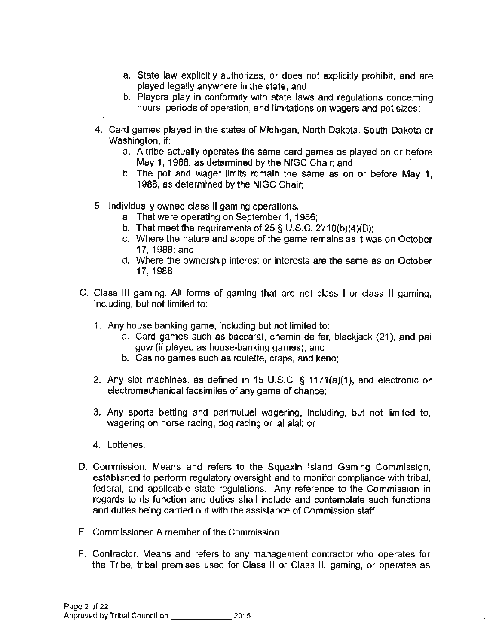- a. State law explicitly authorizes, or does not explicitly prohibit. and are played legally anywhere in the state; and
- b. Piayers play in conformity with state iaws and regulations concerning hours, periods of operation, and limitations on wagers and pot sizes;
- 4. Card games played in the states of Michigan, North Dakota, South Dakota or Washington, if:
	- a. A tribe actually operates the same card games as played on or before May 1, 1988, as determined by the NIGC Chair; and
	- b. The pot and wager limits remain the same as on or before May 1, 1988, as determined by the NIGG Chair;
- 5. Individually owned class II gaming operations.
	- a. That were operating on September 1, 1986;
	- b. That meet the requirements of 25 § U.S.C. 2710(b)(4)(8);
	- c. Where the nature and scope of the game remains as it was on October 17, 1988;and
	- d. Where the ownership interest or interests are the same as on October 17, 1988.
- C. Class Ill gaming. All forms of gaming that are not class I or class II gaming, including, but not limited to:
	- 1. Any house banking game, including but not limited to:
		- a. Card games such as baccarat, chemin de fer, blackjack (21), and pai gow (if played as house-banking games); and
		- b. Casino games such as roulette, craps, and keno;
	- 2. Any slot machines, as defined in 15 U.S.C. § 1171(a)(1), and electronic or electromechanical facsimiles of any game of chance;
	- 3. Any sports betting and parimutuel wagering, including, but not limited to, wagering on horse racing, dog racing or jai alai: or
	- 4. Lotteries.
- D. Commission. Means and refers to the Squaxin Island Gaming Commission, established to perform regulatory oversight and to monitor compliance with tribal, federal, and applicable state regulations. Any reference to the Commission in regards to its function and duties shall include and contemplate such functions and duties being carried out with the assistance of Commission staff.
- E. Commissioner. A member of the Commission.
- F. Contractor. Means and refers to any management contractor who operates for the Tribe, tribal premises used for Class II or Class Ill gaming, or operates as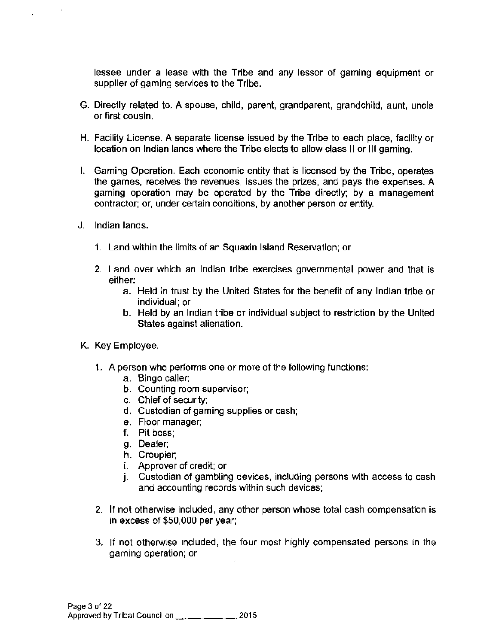lessee under a lease with the Tribe and any lessor of gaming equipment or supplier of gaming services to the Tribe.

- G. Directly related to. A spouse, child, parent, grandparent, grandchild, aunt, uncle or first cousin.
- H. Facility License. A separate license issued by the Tribe to each place, facility or location on Indian lands where the Tribe elects to allow class II or Ill gaming.
- I. Gaming Operation. Each economic entity that is licensed by the Tribe, operates the games, receives the revenues, issues the prizes, and pays the expenses. A gaming operation may be operated by the Tribe directly; by a management contractor; or, under certain conditions, by another person or entity.
- J. Indian lands.

 $\mathbf{r}$ 

 $\mathbf{r}$ 

- 1. Land within the limits of an Squaxin Island Reservation; or
- 2. Land over which an Indian tribe exercises governmental power and that is either:
	- a. Held in trust by the United States for the benefit of any Indian tribe or individual; or
	- b. Held by an Indian tribe or individual subject to restriction by the United States against alienation.
- K. Key Employee.
	- 1. A person who performs one or more of the following functions:
		- a. Bingo caller;
		- b. Counting room supervisor;
		- c. Chief of security:
		- d. Custodian of gaming supplies or cash;
		- e. Floor manager;
		- f. Pit boss;
		- g. Dealer;
		- h. Croupier;
		- i. Approver of credit; or
		- j. Custodian of gambling devices, including persons with access to cash and accounting records within such devices;
	- 2. If not otherwise included, any other person whose total cash compensation is in excess of \$50,000 per year;
	- 3. If not otherwise included, the four most highly compensated persons in the gaming operation; or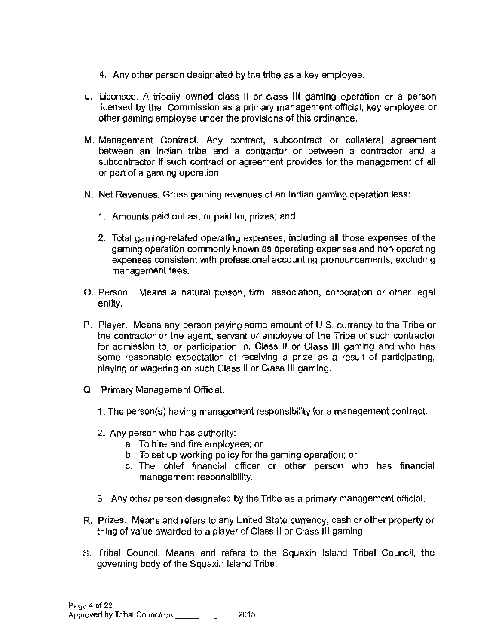- 4. Any other person designated by the tribe as a key employee.
- L. Licensee. A tribaiiy owned ciass ii or ciass iii gaming operation or a person licensed by the Commission as a primary management official, key employee or other gaming employee under the provisions of this ordinance.
- M. Management Contract. Any contract, subcontract or collateral agreement between an Indian tribe and a contractor or between a contractor and a subcontractor if such contract or agreement provides for the management of all or part of a gaming operation.
- N. Net Revenues. Gross gaming revenues of an Indian gaming operation less:
	- 1. Amounts paid out as, or paid for, prizes; and
	- 2. Total gaming-related operating expenses, including all those expenses of the gaming operation commonly known as operating expenses and non-operating expenses consistent with professional accounting pronouncements, excluding management fees.
- 0. Person. Means a natural person, finn, association, corporation or other legal entity.
- P. Player. Means any person paying some amount of U.S. currency to the Tribe or the contractor or the agent, servant or employee of the Tribe or such contractor for admission to, or participation in, Class II or Class Ill gaming and who has some reasonable expectation of receiving· a prize as a result of participating, playing or wagering on such Class II or Class Ill gaming.
- Q. Primary Management Official.
	- 1. The person(s) having management responsibility for a management contract.
	- 2. Any person who has authority:
		- a. To hire and fire employees; or
		- b. To set up working policy for the gaming operation; or
		- c. The chief financial officer or other person who has financial management responsibility.
	- 3. Any other person designated by the Tribe as a primary management official.
- R. Prizes. Means and refers to any United State currency, cash or other property or thing of value awarded to a player of Class Hor Class Ill gaming.
- S. Tribal Council. Means and refers to the Squaxin Island Tribal Council, the governing body of the Squaxin Island Tribe.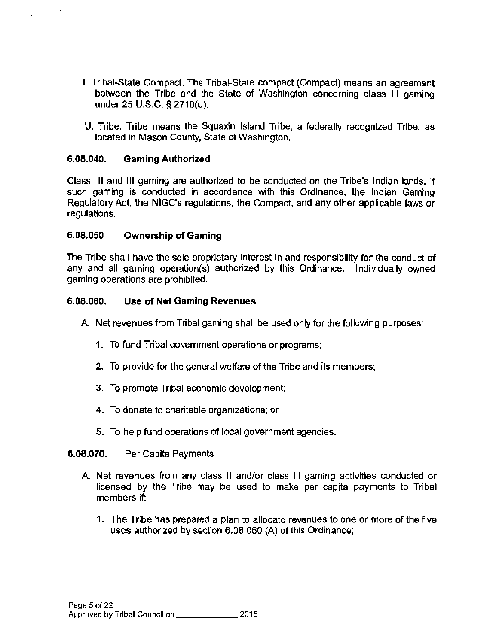- T. Tribal-State Compact. The Tribal-State compact (Compact) means an agreement between the Tribe and the State of Washington concerning class Ill gaming under 25 U.S.C. § 2710(d).
- U. Tribe. Tribe means the Squaxin Island Tribe, a federally recognized Tribe, as located in Mason County, State of Washington.

#### 6.08.040. Gaming Authorized

 $\overline{a}$ 

Class II and Ill gaming are authorized to be conducted on the Tribe's Indian lands, if such gaming is conducted in accordance with this Ordinance, the Indian Gaming Regulatory Act, the NIGC's regulations, the Compact, and any other applicable laws or regulations.

#### 6.08.050 Ownership of Gaming

The Tribe shall have the sole proprietary interest in and responsibility for the conduct of any and all gaming operation(s) authorized by this Ordinance. Individually owned gaming operations are prohibited.

#### 6.08.060. Use of Net Gaming Revenues

- A. Net revenues from Tribal gaming shall be used only for the following purposes:
	- 1. To fund Tribal government operations or programs;
	- 2. To provide for the general welfare of the Tribe and its members;
	- 3. To promote Tribal economic development;
	- 4. To donate to charitable organizations; or
	- 5. To help fund operations of local government agencies.

#### 6.08.070. Per Capita Payments

- A. Net revenues from any class II and/or class III gaming activities conducted or licensed by the Tribe may be used to make per capita payments to Tribal members if:
	- 1. The Tribe has prepared a plan to allocate revenues to one or more of the five uses authorized by section 6.08.060 (A) of this Ordinance;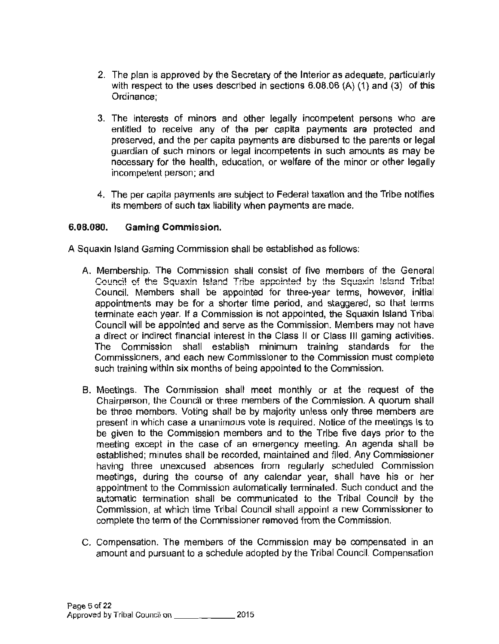- 2. The plan is approved by the Secretary of the Interior as adequate, particularly with respect to the uses described in sections 6.08.06 (A) (1) and (3) of this Ordinance;
- 3. The interests of minors and other legally incompetent persons who are entitled to receive any of the per capita payments are protected and preserved, and the per capita payments are disbursed to the parents or legal guardian of such minors or legal incompetents in such amounts as may be necessary for the health, education, or welfare of the minor or other legally incompetent person; and
- 4. The per capita payments are subject to Federal taxation and the Tribe notifies its members of such tax liability when payments are made.

#### 6.08.080. Gaming Commission.

- A Squaxin Island Gaming Commission shall be established as follows:
	- A. Membership. The Commission shall consist of five members of the General Council of the Squaxin Island Tribe appointed by the Squaxin Island Tribal Council. Members shall be appointed for three-year terms, however, initial appointments may be for a shorter time period, and staggered, so that terms terminate each year. If a Commission is not appointed, the Squaxin Island Tribal Council will be appointed and serve as the Commission. Members may not have a direct or indirect financial interest in the Class JI or Class Ill gaming activities. The Commission shall establish minimum training standards for the Commissioners, and each new Commissioner to the Commission must complete such training within six months of being appointed to the Commission.
	- B. Meetings. The Commission shall meet monthly or at the request of the Chairperson, the Council or three members of the Commission. A quorum shall be three members. Voting shall be by majority unless only three members are present in which case a unanimous vote is required. Notice of the meetings is to be given to the Commission members and to the Tribe five days prior to the meeting except in the case of an emergency meeting. An agenda shall be established; minutes shall be recorded, maintained and filed. Any Commissioner having three unexcused absences from regularly scheduled Commission meetings, during the course of any calendar year, shall have his or her appointment to the Commission automatically terminated. Such conduct and the automatic termination shall be communicated to the Tribal Council by the Commission, at which time Tribal Council shall appoint a new Commissioner to complete the term of the Commissioner removed from the Commission.
	- C. Compensation. The members of the Commission may be compensated in an amount and pursuant to a schedule adopted by the Tribal Council. Compensation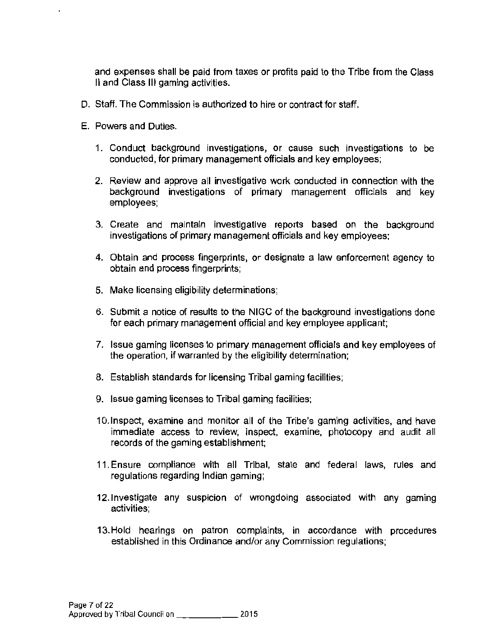and expenses shall be paid from taxes or profits paid to the Tribe from the Class II and Class Ill gaming activities.

- D. Staff. The Commission is authorized to hire or contract for staff.
- E. Powers and Duties.
	- 1. Conduct background investigations, or cause such investigations to be conducted, for primary management officials and key employees;
	- 2. Review and approve all investigative work conducted in connection with the background investigations of primary management officials and key employees;
	- 3. Create and maintain investigative reports based on the background investigations of primary management officials and key employees;
	- 4. Obtain and process fingerprints, or designate a law enforcement agency to obtain and process fingerprints;
	- 5. Make licensing eligibility determinations;
	- 6. Submit a notice of results to the NIGC of the background investigations done for each primary management official and key employee applicant;
	- 7. Issue gaming licenses to primary management officials and key employees of the operation, if warranted by the eligibility determination;
	- 8. Establish standards for licensing Tribal gaming facilities;
	- 9. Issue gaming licenses to Tribal gaming facilities;
	- 10. Inspect, examine and monitor all of the Tribe's gaming activities, and have immediate access to review, Inspect, examine, photocopy and audit all records of the gaming establishment;
	- 11. Ensure compliance with all Tribal, state and federal laws, rules and regulations regarding Indian gaming;
	- 12. Investigate any suspicion of wrongdoing associated with any gaming activities;
	- 13. Hold hearings on patron complaints, in accordance with procedures established in this Ordinance and/or any Commission regulations;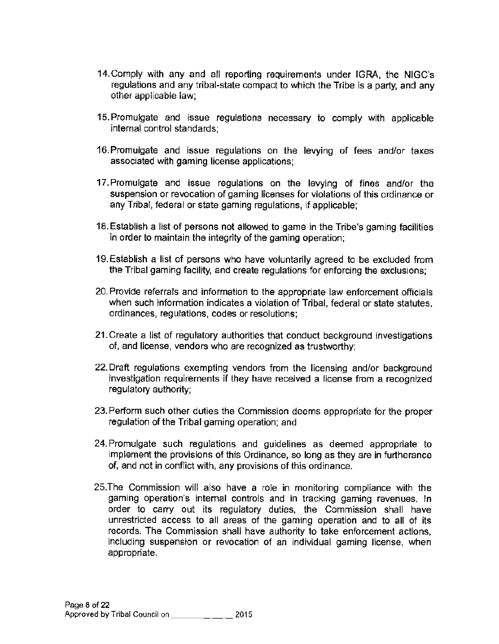- 14. Comply with any and all reporting requirements under IGRA, the NIGC's regulations and any tribal-state compact to which the Tribe is a party, and any other applicabie iaw;
- 15. Promulgate and issue regulations necessary to comply with applicable internal control standards;
- 16. Promulgate and issue regulations on the levying of fees and/or taxes associated with gaming license applications;
- 17. Promulgate and issue regulations on the levying of fines and/or the suspension or revocation of gaming licenses for violations of this ordinance or any Tribal, federal or state gaming regulations, if applicable;
- 18. Establish a list of persons not allowed to game in the Tribe's gaming facilities in order to maintain the integrity of the gaming operation;
- 19. Establish a list of persons who have voluntarily agreed to be excluded from the Tribal gaming facility, and create regulations for enforcing the exclusions;
- 20. Provide referrals and information to the appropriate law enforcement officials when such information indicates a violation of Tribal, federal or state statutes, ordinances, regulations, codes or resolutions;
- 21. Create a list of regulatory authorities that conduct background investigations of, and license, vendors who are recognized as trustworthy;
- 22. Draft regulations exempting vendors from the licensing and/or background investigation requirements if they have received a license from a recognized regulatory authority;
- 23. Perform such other duties the Commission deems appropriate for the proper regulation of the Tribal gaming operation; and
- 24. Promulgate such regulations and guidelines as deemed appropriate to implement the provisions of this Ordinance, so long as they are in furtherance of, and not in conflict with, any provisions of this ordinance.
- 25.The Commission will also have a role in monitoring compliance with the gaming operation's internal controls and in tracking gaming revenues. In order to carry out its regulatory duties, the Commission shall have unrestricted access to all areas of the gaming operation and to all of its records. The Commission shall have authority to take enforcement actions, including suspension or revocation of an individual gaming license, when appropriate.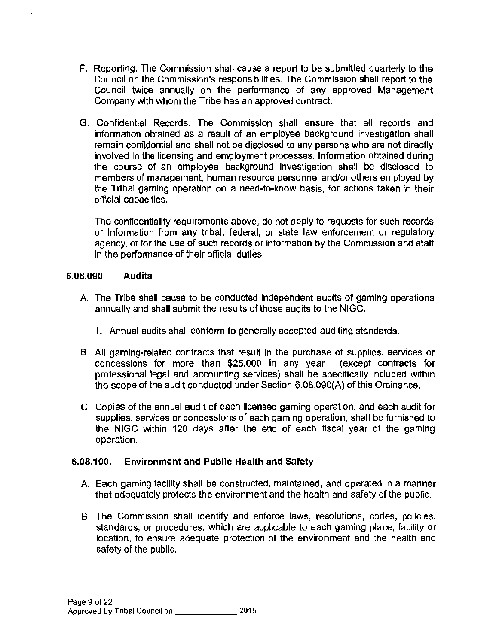- F. Reporting. The Commission shall cause a report to be submitted quarterly to the Council on the Commission's responsibilities. The Commission shall report to the Council twice annually on the performance of any approved Management Company with whom the Tribe has an approved contract.
- G. Confidential Records. The Commission shall ensure that all records and information obtained as a result of an employee background investigation shall remain confidential and shall not be disclosed to any persons who are not directly involved in the licensing and employment processes. Information obtained during the course of an employee background investigation shall be disclosed to members of management, human resource personnel and/or others employed by the Tribal gaming operation on a need-to-know basis, for actions taken in their official capacities.

The confidentiality requirements above, do not apply to requests for such records or Information from any tribal, federal, or state law enforcement or regulatory agency, or for the use of such records or information by the Commission and staff in the performance of their official duties.

#### **6.08.090 Audits**

- A. The Tribe shall cause to be conducted independent audits of gaming operations annually and shall submit the results of those audits to the NIGC.
	- 1. Annual audits shall conform to generally accepted auditing standards.
- B. All gaming-related contracts that result in the purchase of supplies, services or concessions for more than \$25,000 in any year (except contracts for professional legal and accounting services) shall be specifically included within the scope of the audit conducted under Section 6.08.090(A) of this Ordinance.
- C. Copies of the annual audit of each licensed gaming operation, and each audit for supplies, services or concessions of each gaming operation, shall be furnished to the NIGC within 120 days after the end of each fiscal year of the gaming operation.

#### **6.08.100. Environment and Public Health and Safety**

- A. Each gaming facility shall be constructed, maintained, and operated in a manner that adequately protects the environment and the health and safety of the public.
- B. The Commission shall identify and enforce laws, resolutions, codes, policies, standards, or procedures, which are applicable to each gaming place, facility or location, to ensure adequate protection of the environment and the health and safety of the public.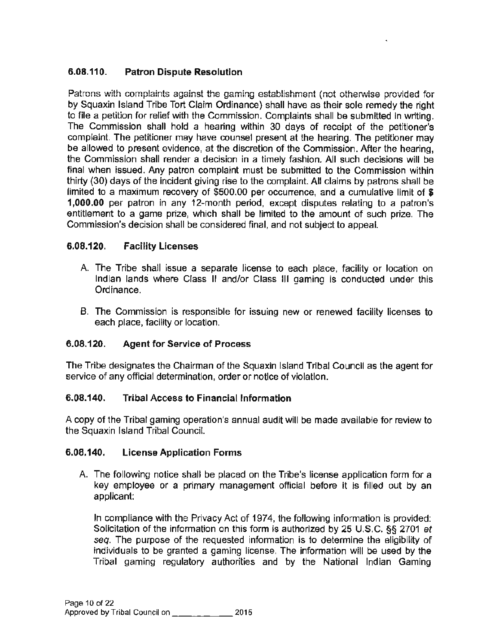## 6.08.110. Patron Dispute Resolution

Patrons with complaints against the gaming establishment (not otherwise provided for by Squaxin Island Tribe Tort Claim Ordinance) shall have as their sole remedy the right to file a petition for relief with the Commission. Complaints shall be submitted in writing. The Commission shall hold a hearing within 30 days of receipt of the petitioner's complaint. The petitioner may have counsel present at the hearing. The petitioner may be allowed to present evidence, at the discretion of the Commission. After the hearing, the Commission shall render a decision in a timely fashion. All such decisions will be final when issued. Any patron complaint must be submitted to the Commission within thirty (30) days of the incident giving rise to the complaint. All claims by patrons shall be limited to a maximum recovery of \$500.00 per occurrence, and a cumulative limit of  $\hat{\boldsymbol{s}}$ 1,000.00 per patron in any 12-month period, except disputes relating to a patron's entitlement to a game prize, which shall be limited to the amount of such prize. The Commission's decision shall be considered final, and not subject to appeal.

## 6.08.120. Facility Licenses

- A. The Tribe shall issue a separate license to each place, facility or location on Indian lands where Class II and/or Class Ill gaming is conducted under this Ordinance.
- B. The Commission is responsible for issuing new or renewed facility licenses to each place, facility or location.

## 6.08.120. Agent for Service of Process

The Tribe designates the Chairman of the Squaxin Island Tribal Council as the agent for service of any official determination, order or notice of violation.

## 6.08.140. Tribal Access to Financial Information

A copy of the Tribal gaming operation's annual audit will be made available for review to the Squaxin Island Tribal Council.

## 6.08.140. License Application Forms

A. The following notice shall be placed on the Tribe's license application form for a key employee or a primary management official before it is filled out by an applicant:

In compliance with the Privacy Act of 1974, the following information is provided: Solicitation of the information on this form is authorized by 25 U.S.C. §§ 2701 et *seq.* The purpose of the requested information is to determine the eligibility of individuals to be granted a gaming license. The information will be used by the Tribal gaming regulatory authorities and by the National Indian Gaming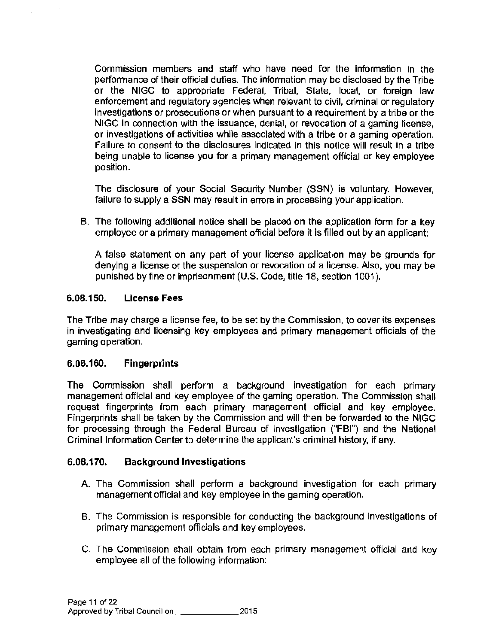Commission members and staff who have need for the information in the performance of their official duties. The information may be disclosed by the Tribe or the NIGG to appropriate Federal, Tribal, State, local, or foreign law enforcement and regulatory agencies when relevant to civil, criminal or regulatory investigations or prosecutions or when pursuant to a requirement by a tribe or the NIGG in connection with the issuance, denial, or revocation of a gaming license, or investigations of activities while associated with a tribe or a gaming operation. Failure to consent to the disclosures indicated in this notice will result in a tribe being unable to license you for a primary management official or key employee position.

The disclosure of your Social Security Number (SSN) is voluntary. However, failure to supply a SSN may result in errors in processing your application.

B. The following additional notice shall be placed on the application form for a key employee or a primary management official before it is filled out by an applicant:

A false statement on any part of your license application may be grounds for denying a license or the suspension or revocation of a license. Also, you may be punished by fine or imprisonment (U.S. Code, title 18, section 1001 ).

#### 6.08.150. License Fees

The Tribe may charge a license fee, to be set by the Commission, to cover its expenses in investigating and licensing key employees and primary management officials of the gaming operation.

## 6.08.160. Fingerprints

The Commission shall perform a background investigation for each primary management official and key employee of the gaming operation. The Commission shall request fingerprints from each primary management official and key employee. Fingerprints shall be taken by the Commission and will then be forwarded to the NIGG for processing through the Federal Bureau of Investigation ("FBI") and the National Criminal Information Center to determine the applicant's criminal history, if any.

## 6.08.170. Background Investigations

- A. The Commission shall perform a background investigation for each primary management official and key employee in the gaming operation.
- B. The Commission is responsible for conducting the background investigations of primary management officials and key employees.
- C. The Commission shall obtain from each primary management official and key employee all of the following information: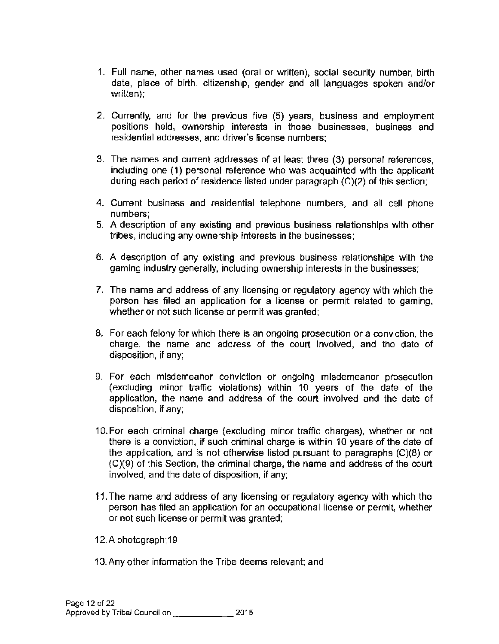- 1. Full name, other names used (oral or written), social security number, birth date, place of birth, citizenship, gender and all languages spoken and/or  $\textsf{written}$ );
- 2. Currently, and for the previous five (5) years, business and employment positions held, ownership interests in those businesses, business and residential addresses, and driver's license numbers;
- 3. The names and current addresses of at least three (3) personal references, including one (1) personal reference who was acquainted with the applicant during each period of residence listed under paragraph (C)(2) of this section;
- 4. Current business and residential telephone numbers, and all cell phone numbers;
- 5. A description of any existing and previous business relationships with other tribes, including any ownership interests in the businesses;
- 6. A description of any existing and previous business relationships with the gaming industry generally, including ownership interests in the businesses;
- 7. The name and address of any licensing or regulatory agency with which the person has filed an application for a license or permit related to gaming, whether or not such license or permit was granted;
- 8. For each felony for which there is an ongoing prosecution or a conviction, the charge, the name and address of the court involved, and the date of disposition, if any;
- 9. For each misdemeanor conviction or ongoing misdemeanor prosecution (excluding minor traffic violations) within 10 years of the date of the application, the name and address of the court involved and the date of disposition, if any;
- 10. For each criminal charge {excluding minor traffic charges), whether or not there is a conviction, if such criminal charge is within 10 years of the date of the application, and is not otherwise listed pursuant to paragraphs (C)(8) or (C)(9) of this Section, the criminal charge, the name and address of the court involved, and the date of disposition, if any;
- 11. The name and address of any licensing or regulatory agency with which the person has filed an application for an occupational license or permit, whether or not such license or permit was granted;
- 12.A photograph;19
- 13. Any other information the Tribe deems relevant; and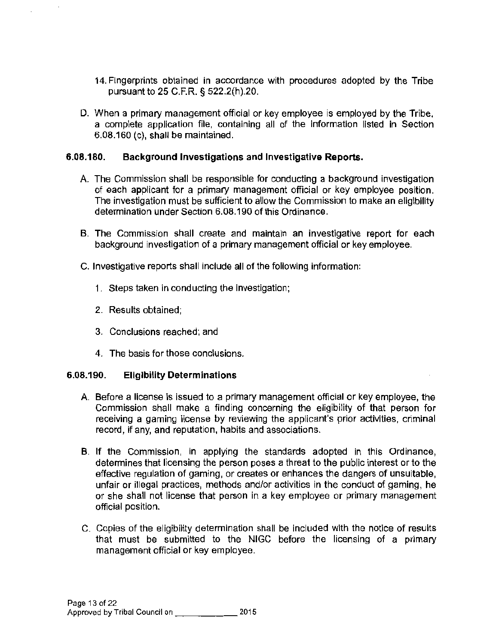- 14. Fingerprints obtained in accordance with procedures adopted by the Tribe pursuant to 25 C.F.R. § 522.2(h).20.
- D. When a primary management official or key employee is employed by the Tribe, a complete application file, containing all of the information listed in Section 6.08.160 (c), shall be maintained.

#### **6.08.180. Background Investigations and Investigative Reports.**

- A. The Commission shall be responsible for conducting a background investigation of each applicant for a primary management official or key employee position. The investigation must be sufficient to allow the Commission to make an eligibility determination under Section 6.08.190 of this Ordinance.
- B. The Commission shall create and maintain an investigative report for each background investigation of a primary management official or key employee.
- C. Investigative reports shall include all of the following information:
	- 1. Steps taken in conducting the investigation;
	- 2. Results obtained;
	- 3. Conclusions reached; and
	- 4. The basis for those conclusions.

#### **6.08.190. Ellglbility Determinations**

- A. Before a license is issued to a primary management official or key employee, the Commission shall make a finding concerning the eligibility of that person for receiving a gaming license by reviewing the applicant's prior activities, criminal record, if any, and reputation, habits and associations.
- B. If the Commission, in applying the standards adopted in this Ordinance, determines that licensing the person poses a threat to the public interest or to the effective regulation of gaming, or creates or enhances the dangers of unsuitable, unfair or illegal practices, methods and/or activities in the conduct of gaming, he or she shall not license that person in a key employee or primary management official position.
- C. Copies of the eligibility determination shall be included with the notice of results that must be submitted to the NIGC before the licensing of a primary management official or key employee.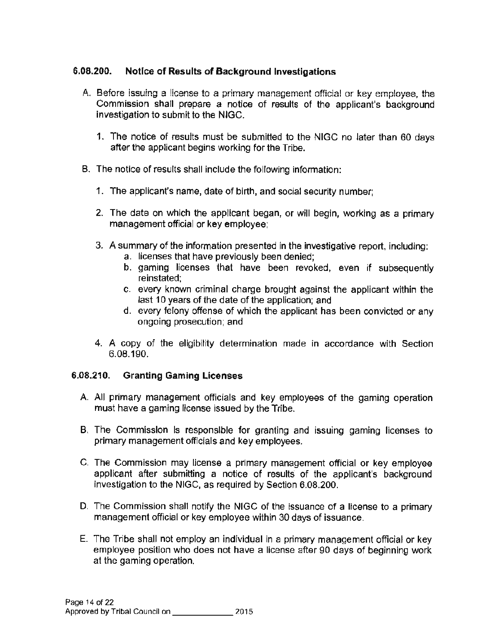## 6.08.200. Notice of Results of Background Investigations

- A. Before issuing a license to a primary management official or key employee, the Commission shall prepare a notice of results of the applicant's background investigation to submit to the NlGC.
	- 1. The notice of results must be submitted to the NIGC no later than 60 days after the applicant begins working for the Tribe.
- B. The notice of results shall include the following information:
	- 1. The applicant's name, date of birth, and social security number;
	- 2. The date on which the applicant began, or will begin, working as a primary management official or key employee;
	- 3. A summary of the information presented in the investigative report, including:
		- a. licenses that have previously been denied;
		- b. gaming licenses that have been revoked, even if subsequently reinstated;
		- c. every known criminal charge brought against the applicant within the last 10 years of the date of the application; and
		- d. every felony offense of which the applicant has been convicted or any ongoing prosecution; and
	- 4. A copy of the eligibility determination made in accordance with Section 6.08.190.

## 6.08.210. Granting Gaming Licenses

- A All primary management officials and key employees of the gaming operation must have a gaming license issued by the Tribe.
- B. The Commission Is responsible for granting and issuing gaming licenses to primary management officials and key employees.
- C. The Commission may license a primary management official or key employee applicant after submitting a notice of results of the applicant's background investigation to the NIGC, as required by Section 6.08.200.
- D. The Commission shall notify the NIGC of the issuance of a license to a primary management official or key employee within 30 days of issuance.
- E. The Tribe shall not employ an individual in a primary management official or key employee position who does not have a license after 90 days of beginning work at the gaming operation.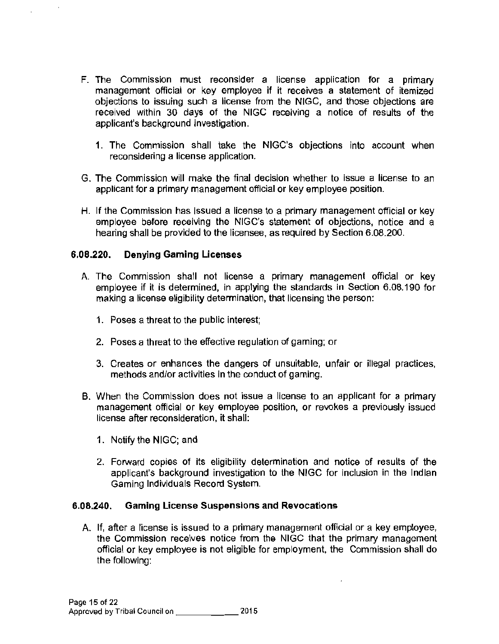- F. The Commission must reconsider a license application for a primary management official or key employee if it receives a statement of itemized objections to issuing such a license from the NIGG, and those objections are received within 30 days of the NIGG receiving a notice of results of the applicant's background investigation.
	- 1. The Commission shall take the NIGC's objections into account when reconsidering a license application.
- G. The Commission will make the final decision whether to issue a license to an applicant for a primary management official or key employee position.
- H. If the Commission has issued a license to a primary management official or key employee before receiving the NIGC's statement of objections, notice and a hearing shall be provided to the licensee, as required by Section 6.08.200.

#### 6.08.220. Denying Gaming Licenses

- A. The Commission shall not license a primary management official or key employee if it is determined, in applying the standards in Section 6.08.190 for making a license eligibility determination, that licensing the person:
	- 1. Poses a threat to the public interest;
	- 2. Poses a threat to the effective regulation of gaming; or
	- 3. Creates or enhances the dangers of unsuitable, unfair or illegal practices, methods and/or activities in the conduct of gaming.
- B. When the Commission does not issue a license to an applicant for a primary management official or key employee position, or revokes a previously issued license after reconsideration, it shall:
	- 1. Notify the NIGG; and
	- 2. Forward copies of its eligibility determination and notice of results of the applicant's background investigation to the NIGC for inclusion in the Indian Gaming Individuals Record System.

#### 6.08.240. Gaming License Suspensions and Revocations

A. If, after a license is issued to a primary management official or a key employee, the Commission receives notice from the NIGG that the primary management official or key employee is not eligible for employment, the Commission shall do the following: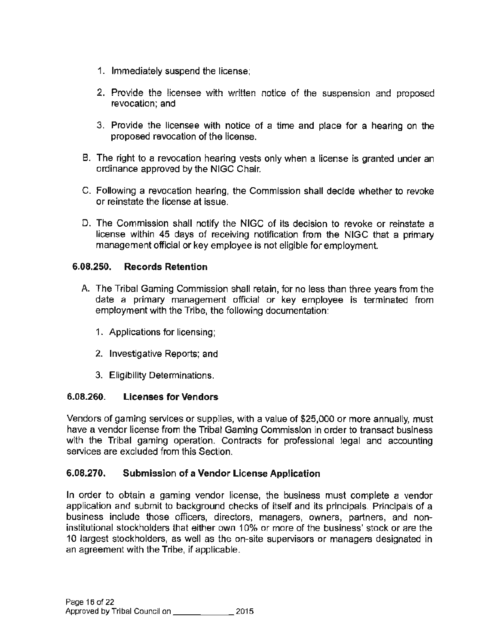- 1. Immediately suspend the license;
- 2. Provide the licensee with written notice of the suspension and proposed revocation; and
- 3. Provide the licensee with notice of a time and place for a hearing on the proposed revocation of the license.
- B. The right to a revocation hearing vests only when a license is granted under an ordinance approved by the NIGG Chair.
- C. Following a revocation hearing, the Commission shall decide whether to revoke or reinstate the license at issue.
- D. The Commission shall notify the NIGC of its decision to revoke or reinstate a license within 45 days of receiving notification from the NIGC that a primary management official or key employee is not eligible for employment.

## 6.08.250. Records Retention

- A. The Tribal Gaming Commission shall retain, for no less than three years from the date a primary management official or key employee is terminated from employment with the Tribe, the following documentation:
	- 1. Applications for licensing;
	- 2. Investigative Reports; and
	- 3. Eligibility Determinations.

## 6.08.260. Licenses for Vendors

Vendors of gaming services or supplies, with a value of \$25,000 or more annually, must have a vendor license from the Tribal Gaming Commission in order to transact business with the Tribal gaming operation. Contracts for professional legal and accounting services are excluded from this Section.

## 6.08.270. Submission of a Vendor License Application

In order to obtain a gaming vendor license, the business must complete a vendor application and submit to background checks of itself and its principals. Principals of a business include those officers, directors, managers, owners, partners, and noninstitutional stockholders that either own 10% or more of the business' stock or are the 10 largest stockholders, as well as the on-site supervisors or managers designated in an agreement with the Tribe, if applicable.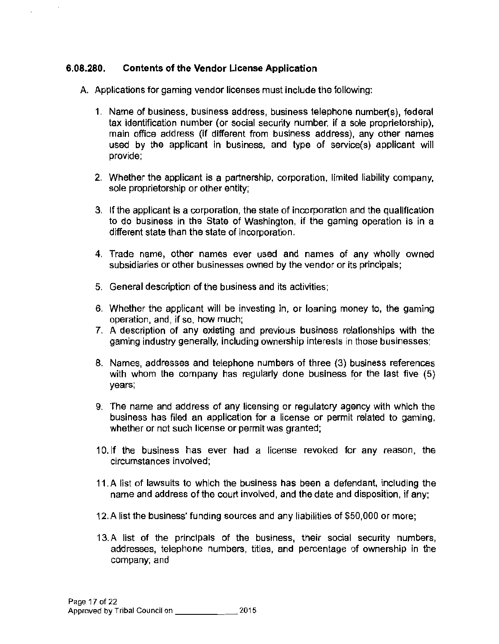#### **6.08.280. Contents of the Vendor License Application**

..

A. Applications for gaming vendor licenses must include the following:

- 1. Name of business, business address, business telephone number(s), federal tax identification number (or social security number, if a sole proprietorship), main office address (if different from business address), any other names used by the applicant in business, and type of service(s) applicant will provide;
- 2. Whether the applicant is a partnership, corporation, limited liability company, sole proprietorship or other entity;
- 3. If the applicant is a corporation, the state of incorporation and the qualification to do business in the State of Washington, if the gaming operation is in a different state than the state of incorporation.
- 4. Trade name, other names ever used and names of any wholly owned subsidiaries or other businesses owned by the vendor or its principals;
- 5. General description of the business and its activities;
- 6. Whether the applicant will be investing in, or loaning money to, the gaming operation, and, if so, how much;
- 7. A description of any existing and previous business relationships with the gaming industry generally, including ownership interests in those businesses;
- 8. Names, addresses and telephone numbers of three (3) business references with whom the company has regularly done business for the last five (5) years;
- 9. The name and address of any licensing or regulatory agency with which the business has filed an application for a license or permit related to gaming, whether or not such license or permit was granted;
- 10. If the business has ever had a license revoked for any reason, the circumstances involved;
- 11.A list of lawsuits to which the business has been a defendant, including the name and address of the court involved, and the date and disposition, if any;
- 12.A list the business' funding sources and any liabilities of \$50,000 or more;
- 13. A list of the principals of the business, their social security numbers, addresses, telephone numbers, titles, and percentage of ownership in the company; and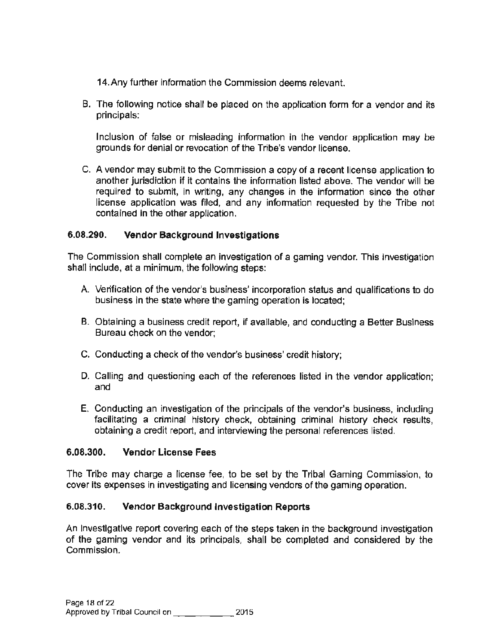14. Any further information the Commission deems relevant.

B. The following notice shall be placed on the application form for a vendor and its principals:

Inclusion of false or misleading information in the vendor application may be grounds for denial or revocation of the Tribe's vendor license.

C. A vendor may submit to the Commission a copy of a recent license application to another jurisdiction if it contains the information listed above. The vendor will be required to submit, in writing, any changes in the information since the other license application was filed, and any information requested by the Tribe not contained in the other application.

## 6.08.290. Vendor Background Investigations

The Commission shall complete an investigation of a gaming vendor. This investigation shall include, at a minimum, the following steps:

- A. Verification of the vendor's business' incorporation status and qualifications to do business in the state where the gaming operation is located;
- B. Obtaining a business credit report, if available, and conducting a Better Business Bureau check on the vendor;
- C. Conducting a check of the vendor's business' credit history;
- D. Calling and questioning each of the references listed in the vendor application; and
- E. Conducting an investigation of the principals of the vendor's business, including facilitating a criminal history check, obtaining criminal history check results, obtaining a credit report, and interviewing the personal references listed.

## 6.08.300. Vendor License Fees

The Tribe may charge a license fee, to be set by the Tribal Gaming Commission, to cover its expenses in investigating and licensing vendors of the gaming operation.

## 6.08.310. Vendor Background Investigation Reports

An Investigative report covering each of the steps taken in the background investigation of the gaming vendor and its principals. shall be completed and considered by the Commission.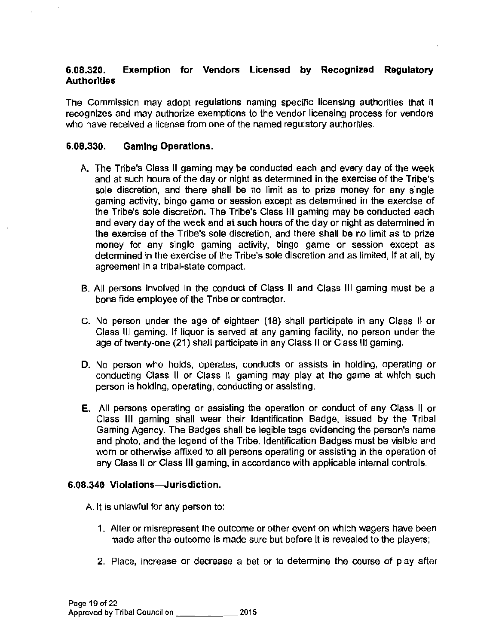#### 6.08.320. Exemption for Vendors Licensed by Recognized Regulatory **Authorities**

The Commission may adopt regulations naming specific licensing authorities that it recognizes and may authorize exemptions to the vendor licensing process for vendors who have received a license from one of the named regulatory authorities.

#### 6.08.330. Gaming Operations.

- A. The Tribe's Class II gaming may be conducted each and every day of the week and at such hours of the day or night as determined in the exercise of the Tribe's sole discretion, and there shall be no limit as to prize money for any single gaming activity, bingo game or session except as determined in the exercise of the Tribe's sole discretion. The Tribe's Class Ill gaming may be conducted each and every day of the week and at such hours of the day or night as determined in the exercise of the Tribe's sole discretion, and there shall be no limit as to prize money for any single gaming activity, bingo game or session except as determined in the exercise of the Tribe's sole discretion and as limited, if at all, by agreement in a tribal-state compact.
- B. All persons involved in the conduct of Class II and Class Ill gaming must be a bona fide employee of the Tribe or contractor.
- C. No person under the age of eighteen (18) shall participate in any Class II or Class Ill gaming. If liquor is served at any gaming facility, no person under the age of twenty-one (21) shall participate in any Class II or Class Ill gaming.
- D. No person who holds, operates, conducts or assists in holding, operating or conducting Class II or Class Ill gaming may play at the game at which such person is holding, operating, conducting or assisting.
- E. All persons operating or assisting the operation or conduct of any Class II or Class Ill gaming shall wear their Identification Badge, issued by the Tribal Gaming Agency. The Badges shall be legible tags evidencing the person's name and photo, and the legend of the Tribe. Identification Badges must be visible and worn or otherwise affixed to all persons operating or assisting in the operation of any Class II or Glass Ill gaming, in accordance with applicable internal controls.

## 6.08.340 Violations-Jurisdiction.

A. It is unlawful for any person to:

- 1. Alter or misrepresent the outcome or other event on which wagers have been made after the outcome is made sure but before it is revealed to the players;
- 2. Place, increase or decrease a bet or to determine the course of play after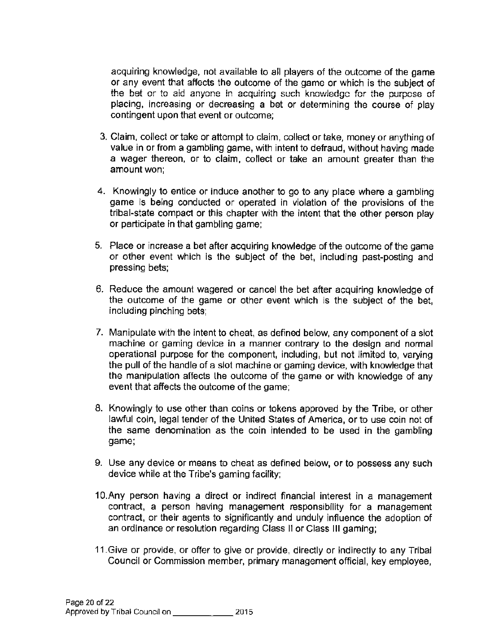acquiring knowledge, not available to all players of the outcome of the game or any event that affects the outcome of the game or which is the subject of the bet or to aid anyone in acquiring such knowledge for the purpose of placing, increasing or decreasing a bet or determining the course of play contingent upon that event or outcome;

- 3. Claim, collect or take or attempt to claim, collect or take, money or anything of value in or from a gambling game, with intent to defraud, without having made a wager thereon, or to claim, collect or take an amount greater than the amount won;
- 4. Knowingly to entice or induce another to go to any place where a gambling game is being conducted or operated in violation of the provisions of the tribal-state compact or this chapter with the intent that the other person play or participate in that gambling game;
- 5. Place or increase a bet after acquiring knowledge of the outcome of the game or other event which is the subject of the bet, including past-posting and pressing bets;
- 6. Reduce the amount wagered or cancel the bet after acquiring knowledge of the outcome of the game or other event which is the subject of the bet, including pinching bets;
- 7. Manipulate with the intent to cheat, as defined below, any component of a slot machine or gaming device in a manner contrary to the design and normal operational purpose for the component. including, but not limited to, varying the pull of the handle of a slot machine or gaming device, with knowledge that the manipulation affects the outcome of the game or with knowledge of any event that affects the outcome of the game;
- 8. Knowingly to use other than coins or tokens approved by the Tribe, or other lawful coin, legal tender of the United States of America, or to use coin not of the same denomination as the coin intended to be used in the gambling game;
- 9. Use any device or means to cheat as defined below. or to possess any such device while at the Tribe's gaming facility;
- 1 O.Any person having a direct or indirect financial interest in a management contract, a person having management responsibility for a management contract, or their agents to significantly and unduly influence the adoption of an ordinance or resolution regarding Class 11 or Class Ill gaming;
- 11.Give or provide, or offer to give or provide, directly or indirectly to any Tribal Council or Commission member, primary management official, key employee,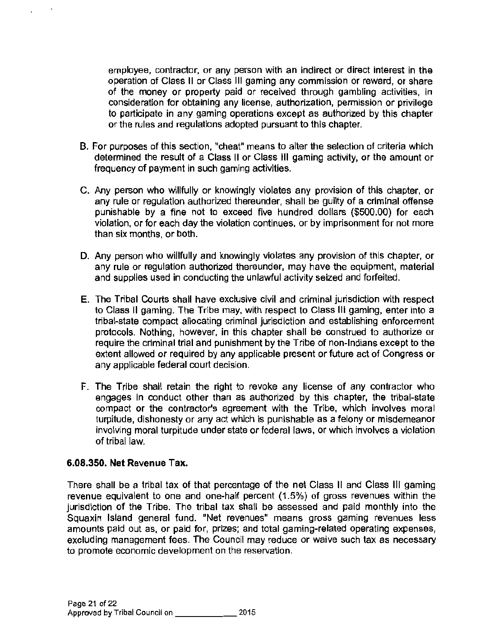employee, contractor, or any person with an indirect or direct interest in the operation of Class II or Class Ill gaming any commission or reward, or share of the money or property paid or received through gambling activities, in consideration for obtaining any license, authorization, permission or privilege to participate in any gaming operations except as authorized by this chapter or the rules and regulations adopted pursuant to this chapter.

- B. For purposes of this section, "cheat" means to alter the selection of criteria which determined the result of a Class II or Class Ill gaming activity, or the amount or frequency of payment in such gaming activities.
- C. Any person who willfully or knowingly violates any provision of this chapter, or any rule or regulation authorized thereunder, shall be guilty of a criminal offense punishable by a fine not to exceed five hundred dollars (\$500.00) for each violation, or for each day the violation continues, or by imprisonment for not more than six months, or both.
- D. Any person who willfully and knowingly violates any provision of this chapter, or any rule or regulation authorized thereunder, may have the equipment, material and supplies used in conducting the unlawful activity seized and forfeited.
- E. The Tribal Courts shall have exclusive civil and criminal jurisdiction with respect to Class II gaming. The Tribe may, with respect to Class Ill gaming, enter into a tribal-state compact allocating criminal jurisdiction and establishing enforcement protocols. Nothing, however, in this chapter shall be construed to authorize or require the criminal trial and punishment by the Tribe of non-Indians except to the extent allowed or required by any applicable present or future act of Congress or any applicable federal court decision.
- F. The Tribe shall retain the right to revoke any license of any contractor who engages in conduct other than as authorized by this chapter, the tribal-state compact or the contractor's agreement with the Tribe, which involves moral turpitude, dishonesty or any act which is punishable as a felony or misdemeanor involving moral turpitude under state or federal laws, or which involves a violation of tribal law.

#### 6.08.350. Net Revenue Tax.

..

There shall be a tribal tax of that percentage of the net Class II and Class III gaming revenue equivalent to one and one-half percent ( 1.5%) of gross revenues within the jurisdiction of the Tribe. The tribal tax shall be assessed and paid monthly into the Squaxin Island general fund. "Net revenues" means gross gaming revenues less amounts paid out as, or paid for, prizes; and total gaming-related operating expenses, excluding management fees. The Council may reduce or waive such tax as necessary to promote economic development on the reservation.